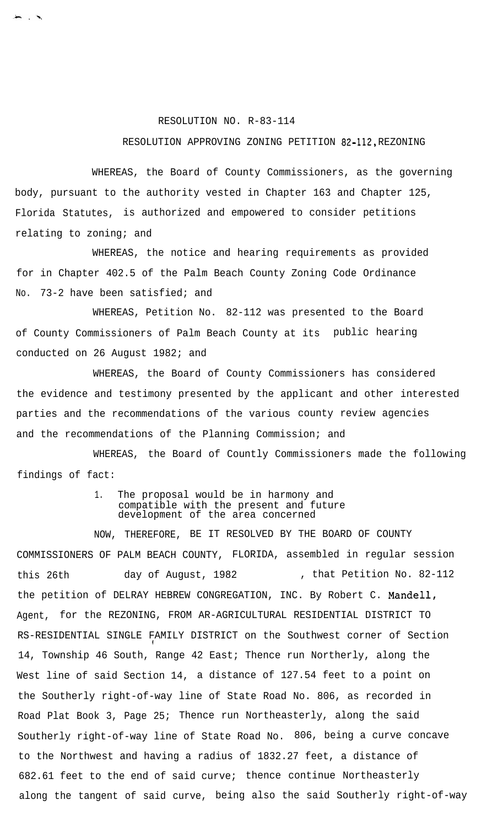## RESOLUTION NO. R-83-114

## RESOLUTION APPROVING ZONING PETITION **82-112,** REZONING

WHEREAS, the Board of County Commissioners, as the governing body, pursuant to the authority vested in Chapter 163 and Chapter 125, Florida Statutes, is authorized and empowered to consider petitions relating to zoning; and

WHEREAS, the notice and hearing requirements as provided for in Chapter 402.5 of the Palm Beach County Zoning Code Ordinance No. 73-2 have been satisfied; and

WHEREAS, Petition No. 82-112 was presented to the Board of County Commissioners of Palm Beach County at its public hearing conducted on 26 August 1982; and

WHEREAS, the Board of County Commissioners has considered the evidence and testimony presented by the applicant and other interested parties and the recommendations of the various county review agencies and the recommendations of the Planning Commission; and

WHEREAS, the Board of Countly Commissioners made the following findings of fact:

## 1. The proposal would be in harmony and compatible with the present and future development of the area concerned

NOW, THEREFORE, BE IT RESOLVED BY THE BOARD OF COUNTY COMMISSIONERS OF PALM BEACH COUNTY, FLORIDA, assembled in regular session this 26th day of August, 1982 , that Petition No. 82-112 the petition of DELRAY HEBREW CONGREGATION, INC. By Robert C. Mandell, Agent, for the REZONING, FROM AR-AGRICULTURAL RESIDENTIAL DISTRICT TO RS-RESIDENTIAL SINGLE FAMILY DISTRICT on the Southwest corner of Section 14, Township 46 South, Range 42 East; Thence run Northerly, along the West line of said Section 14, a distance of 127.54 feet to a point on the Southerly right-of-way line of State Road No. 806, as recorded in Road Plat Book 3, Page 25; Thence run Northeasterly, along the said Southerly right-of-way line of State Road No. 806, being a curve concave to the Northwest and having a radius of 1832.27 feet, a distance of 682.61 feet to the end of said curve; thence continue Northeasterly along the tangent of said curve, being also the said Southerly right-of-way